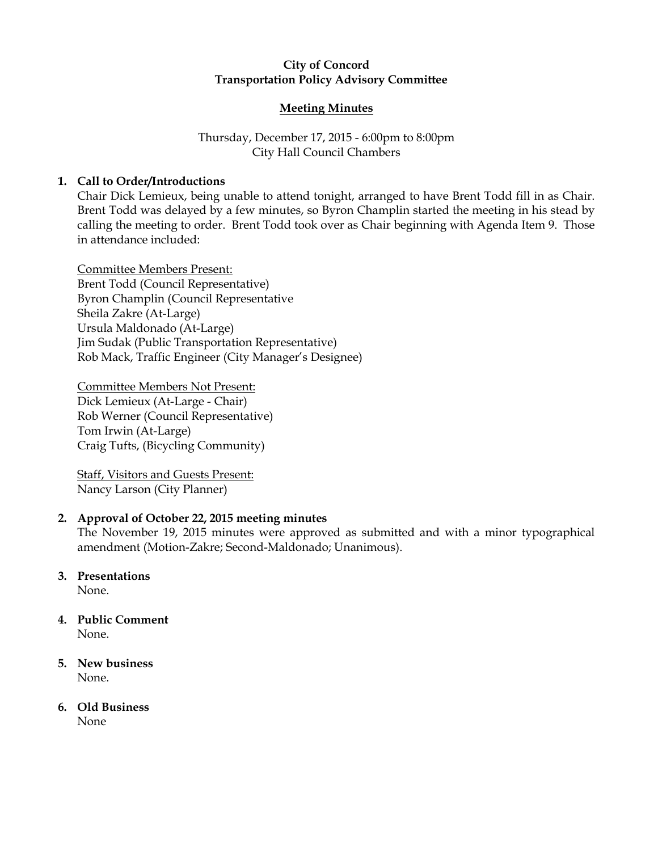## City of Concord Transportation Policy Advisory Committee

### Meeting Minutes

# Thursday, December 17, 2015 - 6:00pm to 8:00pm City Hall Council Chambers

# 1. Call to Order/Introductions

Chair Dick Lemieux, being unable to attend tonight, arranged to have Brent Todd fill in as Chair. Brent Todd was delayed by a few minutes, so Byron Champlin started the meeting in his stead by calling the meeting to order. Brent Todd took over as Chair beginning with Agenda Item 9. Those in attendance included:

Committee Members Present: Brent Todd (Council Representative) Byron Champlin (Council Representative Sheila Zakre (At-Large) Ursula Maldonado (At-Large) Jim Sudak (Public Transportation Representative) Rob Mack, Traffic Engineer (City Manager's Designee)

Committee Members Not Present: Dick Lemieux (At-Large - Chair) Rob Werner (Council Representative) Tom Irwin (At-Large) Craig Tufts, (Bicycling Community)

Staff, Visitors and Guests Present: Nancy Larson (City Planner)

## 2. Approval of October 22, 2015 meeting minutes

The November 19, 2015 minutes were approved as submitted and with a minor typographical amendment (Motion-Zakre; Second-Maldonado; Unanimous).

# 3. Presentations

None.

#### 4. Public Comment None.

- 5. New business None.
- 6. Old Business None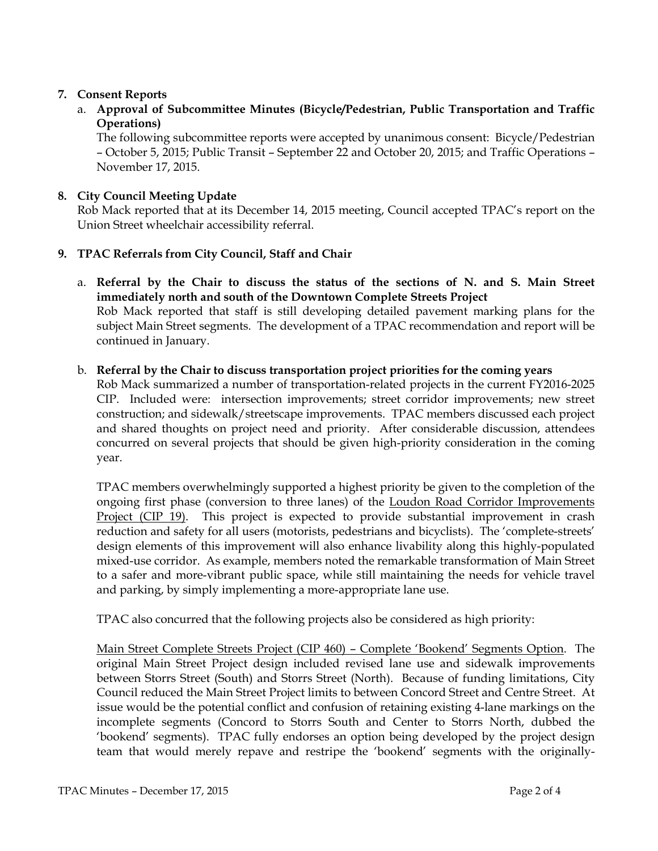# 7. Consent Reports

a. Approval of Subcommittee Minutes (Bicycle/Pedestrian, Public Transportation and Traffic Operations)

The following subcommittee reports were accepted by unanimous consent: Bicycle/Pedestrian – October 5, 2015; Public Transit – September 22 and October 20, 2015; and Traffic Operations – November 17, 2015.

## 8. City Council Meeting Update

Rob Mack reported that at its December 14, 2015 meeting, Council accepted TPAC's report on the Union Street wheelchair accessibility referral.

# 9. TPAC Referrals from City Council, Staff and Chair

a. Referral by the Chair to discuss the status of the sections of N. and S. Main Street immediately north and south of the Downtown Complete Streets Project Rob Mack reported that staff is still developing detailed pavement marking plans for the subject Main Street segments. The development of a TPAC recommendation and report will be continued in January.

### b. Referral by the Chair to discuss transportation project priorities for the coming years

Rob Mack summarized a number of transportation-related projects in the current FY2016-2025 CIP. Included were: intersection improvements; street corridor improvements; new street construction; and sidewalk/streetscape improvements. TPAC members discussed each project and shared thoughts on project need and priority. After considerable discussion, attendees concurred on several projects that should be given high-priority consideration in the coming year.

TPAC members overwhelmingly supported a highest priority be given to the completion of the ongoing first phase (conversion to three lanes) of the Loudon Road Corridor Improvements Project (CIP 19). This project is expected to provide substantial improvement in crash reduction and safety for all users (motorists, pedestrians and bicyclists). The 'complete-streets' design elements of this improvement will also enhance livability along this highly-populated mixed-use corridor. As example, members noted the remarkable transformation of Main Street to a safer and more-vibrant public space, while still maintaining the needs for vehicle travel and parking, by simply implementing a more-appropriate lane use.

TPAC also concurred that the following projects also be considered as high priority:

Main Street Complete Streets Project (CIP 460) – Complete 'Bookend' Segments Option. The original Main Street Project design included revised lane use and sidewalk improvements between Storrs Street (South) and Storrs Street (North). Because of funding limitations, City Council reduced the Main Street Project limits to between Concord Street and Centre Street. At issue would be the potential conflict and confusion of retaining existing 4-lane markings on the incomplete segments (Concord to Storrs South and Center to Storrs North, dubbed the 'bookend' segments). TPAC fully endorses an option being developed by the project design team that would merely repave and restripe the 'bookend' segments with the originally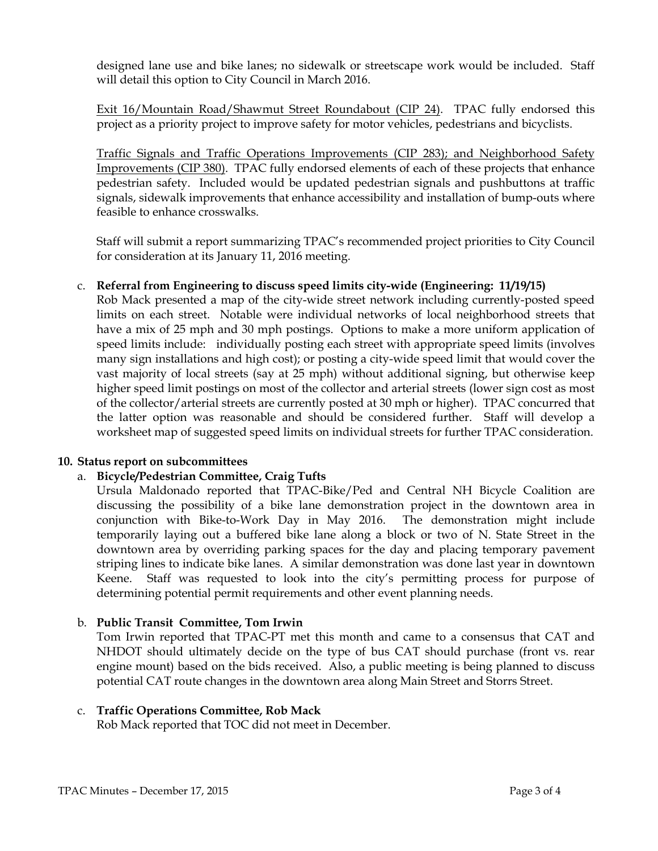designed lane use and bike lanes; no sidewalk or streetscape work would be included. Staff will detail this option to City Council in March 2016.

Exit 16/Mountain Road/Shawmut Street Roundabout (CIP 24). TPAC fully endorsed this project as a priority project to improve safety for motor vehicles, pedestrians and bicyclists.

Traffic Signals and Traffic Operations Improvements (CIP 283); and Neighborhood Safety Improvements (CIP 380). TPAC fully endorsed elements of each of these projects that enhance pedestrian safety. Included would be updated pedestrian signals and pushbuttons at traffic signals, sidewalk improvements that enhance accessibility and installation of bump-outs where feasible to enhance crosswalks.

Staff will submit a report summarizing TPAC's recommended project priorities to City Council for consideration at its January 11, 2016 meeting.

### c. Referral from Engineering to discuss speed limits city-wide (Engineering: 11/19/15)

Rob Mack presented a map of the city-wide street network including currently-posted speed limits on each street. Notable were individual networks of local neighborhood streets that have a mix of 25 mph and 30 mph postings. Options to make a more uniform application of speed limits include: individually posting each street with appropriate speed limits (involves many sign installations and high cost); or posting a city-wide speed limit that would cover the vast majority of local streets (say at 25 mph) without additional signing, but otherwise keep higher speed limit postings on most of the collector and arterial streets (lower sign cost as most of the collector/arterial streets are currently posted at 30 mph or higher). TPAC concurred that the latter option was reasonable and should be considered further. Staff will develop a worksheet map of suggested speed limits on individual streets for further TPAC consideration.

### 10. Status report on subcommittees

### a. Bicycle/Pedestrian Committee, Craig Tufts

Ursula Maldonado reported that TPAC-Bike/Ped and Central NH Bicycle Coalition are discussing the possibility of a bike lane demonstration project in the downtown area in conjunction with Bike-to-Work Day in May 2016. The demonstration might include temporarily laying out a buffered bike lane along a block or two of N. State Street in the downtown area by overriding parking spaces for the day and placing temporary pavement striping lines to indicate bike lanes. A similar demonstration was done last year in downtown Keene. Staff was requested to look into the city's permitting process for purpose of determining potential permit requirements and other event planning needs.

### b. Public Transit Committee, Tom Irwin

Tom Irwin reported that TPAC-PT met this month and came to a consensus that CAT and NHDOT should ultimately decide on the type of bus CAT should purchase (front vs. rear engine mount) based on the bids received. Also, a public meeting is being planned to discuss potential CAT route changes in the downtown area along Main Street and Storrs Street.

### c. Traffic Operations Committee, Rob Mack

Rob Mack reported that TOC did not meet in December.